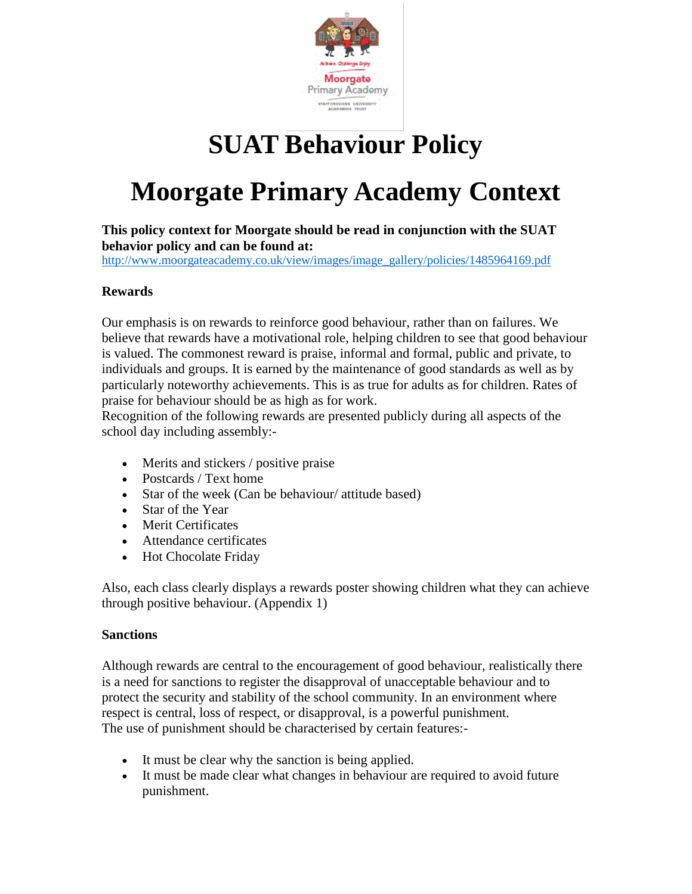

# **SUAT Behaviour Policy**

# **Moorgate Primary Academy Context**

**This policy context for Moorgate should be read in conjunction with the SUAT behavior policy and can be found at:** 

[http://www.moorgateacademy.co.uk/view/images/image\\_gallery/policies/1485964169.pdf](http://www.moorgateacademy.co.uk/view/images/image_gallery/policies/1485964169.pdf)

### **Rewards**

Our emphasis is on rewards to reinforce good behaviour, rather than on failures. We believe that rewards have a motivational role, helping children to see that good behaviour is valued. The commonest reward is praise, informal and formal, public and private, to individuals and groups. It is earned by the maintenance of good standards as well as by particularly noteworthy achievements. This is as true for adults as for children. Rates of praise for behaviour should be as high as for work.

Recognition of the following rewards are presented publicly during all aspects of the school day including assembly:-

- Merits and stickers / positive praise
- Postcards / Text home
- Star of the week (Can be behaviour/ attitude based)
- Star of the Year
- Merit Certificates
- Attendance certificates
- Hot Chocolate Friday

Also, each class clearly displays a rewards poster showing children what they can achieve through positive behaviour. (Appendix 1)

### **Sanctions**

Although rewards are central to the encouragement of good behaviour, realistically there is a need for sanctions to register the disapproval of unacceptable behaviour and to protect the security and stability of the school community. In an environment where respect is central, loss of respect, or disapproval, is a powerful punishment. The use of punishment should be characterised by certain features:-

- It must be clear why the sanction is being applied.
- It must be made clear what changes in behaviour are required to avoid future punishment.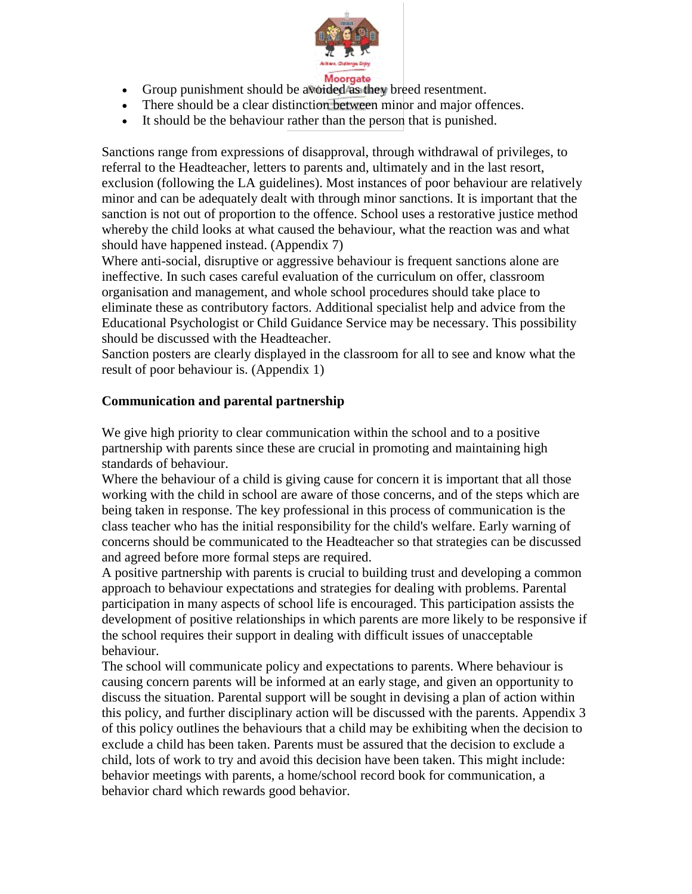

- Group punishment should be avoided as they breed resentment.
- There should be a clear distinction between minor and major offences.
- It should be the behaviour rather than the person that is punished.

Sanctions range from expressions of disapproval, through withdrawal of privileges, to referral to the Headteacher, letters to parents and, ultimately and in the last resort, exclusion (following the LA guidelines). Most instances of poor behaviour are relatively minor and can be adequately dealt with through minor sanctions. It is important that the sanction is not out of proportion to the offence. School uses a restorative justice method whereby the child looks at what caused the behaviour, what the reaction was and what should have happened instead. (Appendix 7)

Where anti-social, disruptive or aggressive behaviour is frequent sanctions alone are ineffective. In such cases careful evaluation of the curriculum on offer, classroom organisation and management, and whole school procedures should take place to eliminate these as contributory factors. Additional specialist help and advice from the Educational Psychologist or Child Guidance Service may be necessary. This possibility should be discussed with the Headteacher.

Sanction posters are clearly displayed in the classroom for all to see and know what the result of poor behaviour is. (Appendix 1)

### **Communication and parental partnership**

We give high priority to clear communication within the school and to a positive partnership with parents since these are crucial in promoting and maintaining high standards of behaviour.

Where the behaviour of a child is giving cause for concern it is important that all those working with the child in school are aware of those concerns, and of the steps which are being taken in response. The key professional in this process of communication is the class teacher who has the initial responsibility for the child's welfare. Early warning of concerns should be communicated to the Headteacher so that strategies can be discussed and agreed before more formal steps are required.

A positive partnership with parents is crucial to building trust and developing a common approach to behaviour expectations and strategies for dealing with problems. Parental participation in many aspects of school life is encouraged. This participation assists the development of positive relationships in which parents are more likely to be responsive if the school requires their support in dealing with difficult issues of unacceptable behaviour.

The school will communicate policy and expectations to parents. Where behaviour is causing concern parents will be informed at an early stage, and given an opportunity to discuss the situation. Parental support will be sought in devising a plan of action within this policy, and further disciplinary action will be discussed with the parents. Appendix 3 of this policy outlines the behaviours that a child may be exhibiting when the decision to exclude a child has been taken. Parents must be assured that the decision to exclude a child, lots of work to try and avoid this decision have been taken. This might include: behavior meetings with parents, a home/school record book for communication, a behavior chard which rewards good behavior.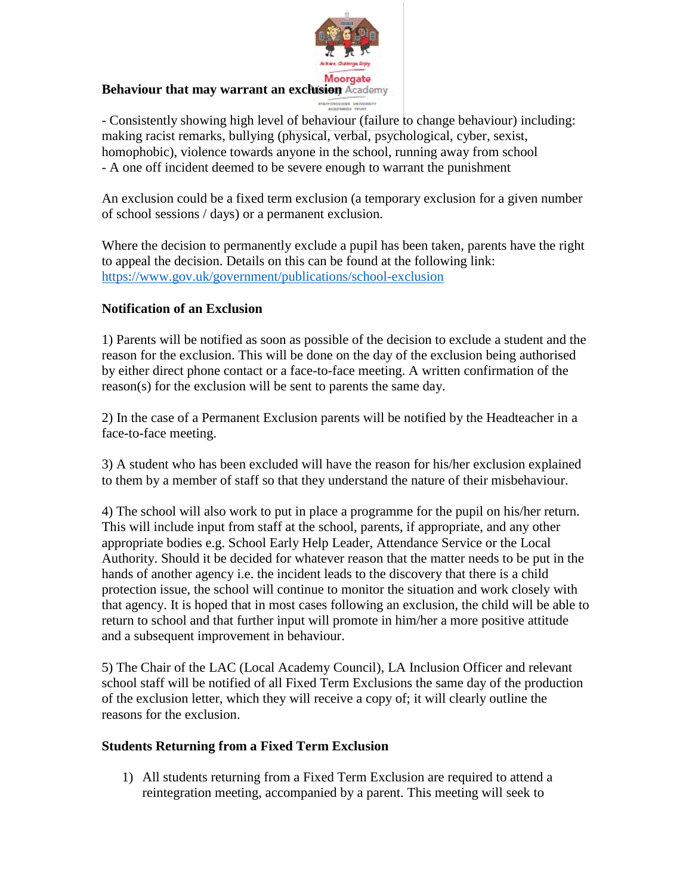

### **Behaviour that may warrant an exclusion** Academy

- Consistently showing high level of behaviour (failure to change behaviour) including: making racist remarks, bullying (physical, verbal, psychological, cyber, sexist, homophobic), violence towards anyone in the school, running away from school - A one off incident deemed to be severe enough to warrant the punishment

An exclusion could be a fixed term exclusion (a temporary exclusion for a given number of school sessions / days) or a permanent exclusion.

Where the decision to permanently exclude a pupil has been taken, parents have the right to appeal the decision. Details on this can be found at the following link: <https://www.gov.uk/government/publications/school-exclusion>

### **Notification of an Exclusion**

1) Parents will be notified as soon as possible of the decision to exclude a student and the reason for the exclusion. This will be done on the day of the exclusion being authorised by either direct phone contact or a face-to-face meeting. A written confirmation of the reason(s) for the exclusion will be sent to parents the same day.

2) In the case of a Permanent Exclusion parents will be notified by the Headteacher in a face-to-face meeting.

3) A student who has been excluded will have the reason for his/her exclusion explained to them by a member of staff so that they understand the nature of their misbehaviour.

4) The school will also work to put in place a programme for the pupil on his/her return. This will include input from staff at the school, parents, if appropriate, and any other appropriate bodies e.g. School Early Help Leader, Attendance Service or the Local Authority. Should it be decided for whatever reason that the matter needs to be put in the hands of another agency i.e. the incident leads to the discovery that there is a child protection issue, the school will continue to monitor the situation and work closely with that agency. It is hoped that in most cases following an exclusion, the child will be able to return to school and that further input will promote in him/her a more positive attitude and a subsequent improvement in behaviour.

5) The Chair of the LAC (Local Academy Council), LA Inclusion Officer and relevant school staff will be notified of all Fixed Term Exclusions the same day of the production of the exclusion letter, which they will receive a copy of; it will clearly outline the reasons for the exclusion.

### **Students Returning from a Fixed Term Exclusion**

1) All students returning from a Fixed Term Exclusion are required to attend a reintegration meeting, accompanied by a parent. This meeting will seek to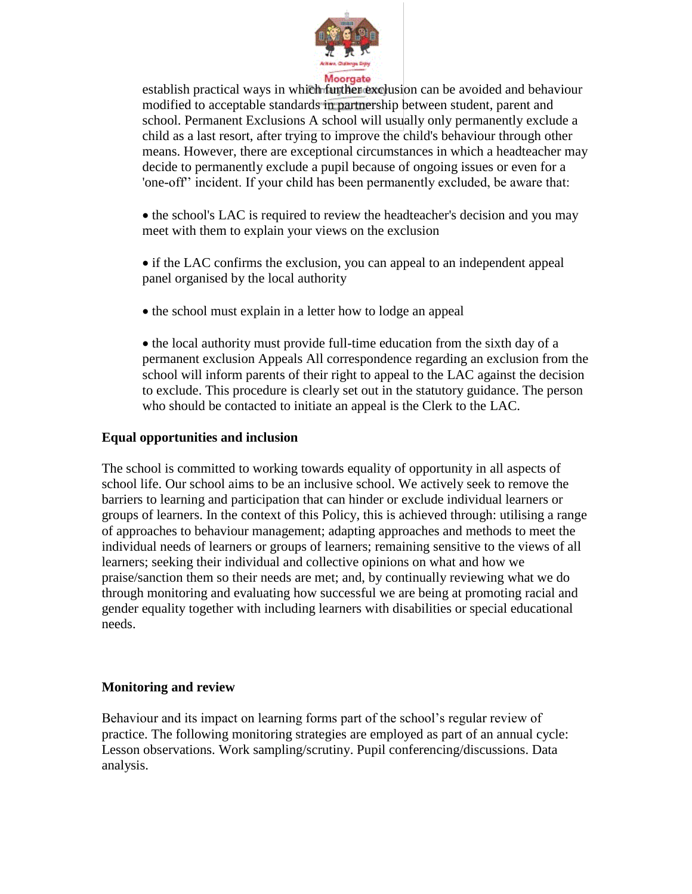

establish practical ways in which further exclusion can be avoided and behaviour modified to acceptable standards in partnership between student, parent and school. Permanent Exclusions A school will usually only permanently exclude a child as a last resort, after trying to improve the child's behaviour through other means. However, there are exceptional circumstances in which a headteacher may decide to permanently exclude a pupil because of ongoing issues or even for a 'one-off'' incident. If your child has been permanently excluded, be aware that:

• the school's LAC is required to review the headteacher's decision and you may meet with them to explain your views on the exclusion

• if the LAC confirms the exclusion, you can appeal to an independent appeal panel organised by the local authority

• the school must explain in a letter how to lodge an appeal

• the local authority must provide full-time education from the sixth day of a permanent exclusion Appeals All correspondence regarding an exclusion from the school will inform parents of their right to appeal to the LAC against the decision to exclude. This procedure is clearly set out in the statutory guidance. The person who should be contacted to initiate an appeal is the Clerk to the LAC.

### **Equal opportunities and inclusion**

The school is committed to working towards equality of opportunity in all aspects of school life. Our school aims to be an inclusive school. We actively seek to remove the barriers to learning and participation that can hinder or exclude individual learners or groups of learners. In the context of this Policy, this is achieved through: utilising a range of approaches to behaviour management; adapting approaches and methods to meet the individual needs of learners or groups of learners; remaining sensitive to the views of all learners; seeking their individual and collective opinions on what and how we praise/sanction them so their needs are met; and, by continually reviewing what we do through monitoring and evaluating how successful we are being at promoting racial and gender equality together with including learners with disabilities or special educational needs.

### **Monitoring and review**

Behaviour and its impact on learning forms part of the school's regular review of practice. The following monitoring strategies are employed as part of an annual cycle: Lesson observations. Work sampling/scrutiny. Pupil conferencing/discussions. Data analysis.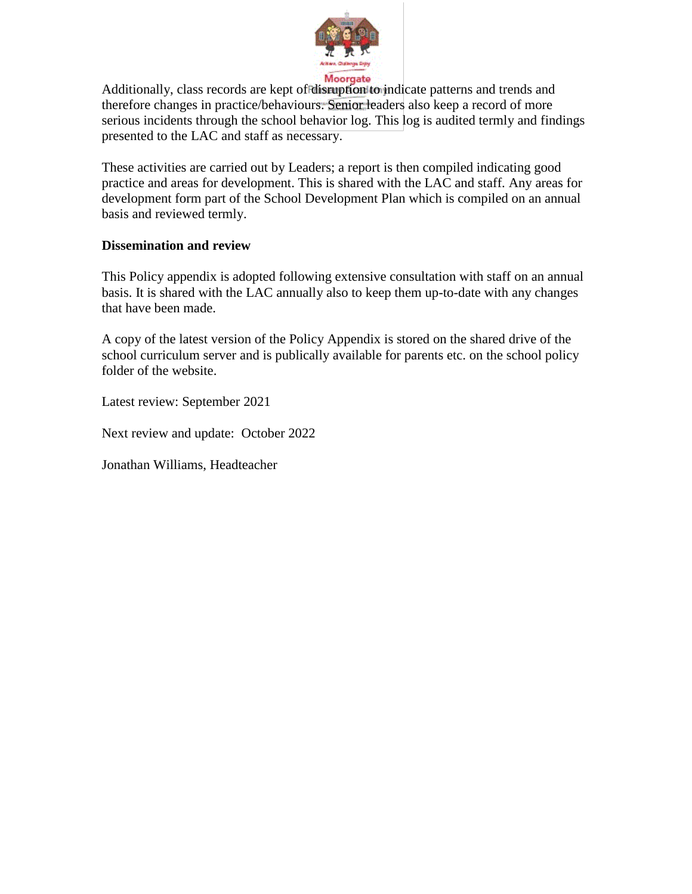

Additionally, class records are kept of disruption to indicate patterns and trends and therefore changes in practice/behaviours. Senior leaders also keep a record of more serious incidents through the school behavior log. This log is audited termly and findings presented to the LAC and staff as necessary.

These activities are carried out by Leaders; a report is then compiled indicating good practice and areas for development. This is shared with the LAC and staff. Any areas for development form part of the School Development Plan which is compiled on an annual basis and reviewed termly.

### **Dissemination and review**

This Policy appendix is adopted following extensive consultation with staff on an annual basis. It is shared with the LAC annually also to keep them up-to-date with any changes that have been made.

A copy of the latest version of the Policy Appendix is stored on the shared drive of the school curriculum server and is publically available for parents etc. on the school policy folder of the website.

Latest review: September 2021

Next review and update: October 2022

Jonathan Williams, Headteacher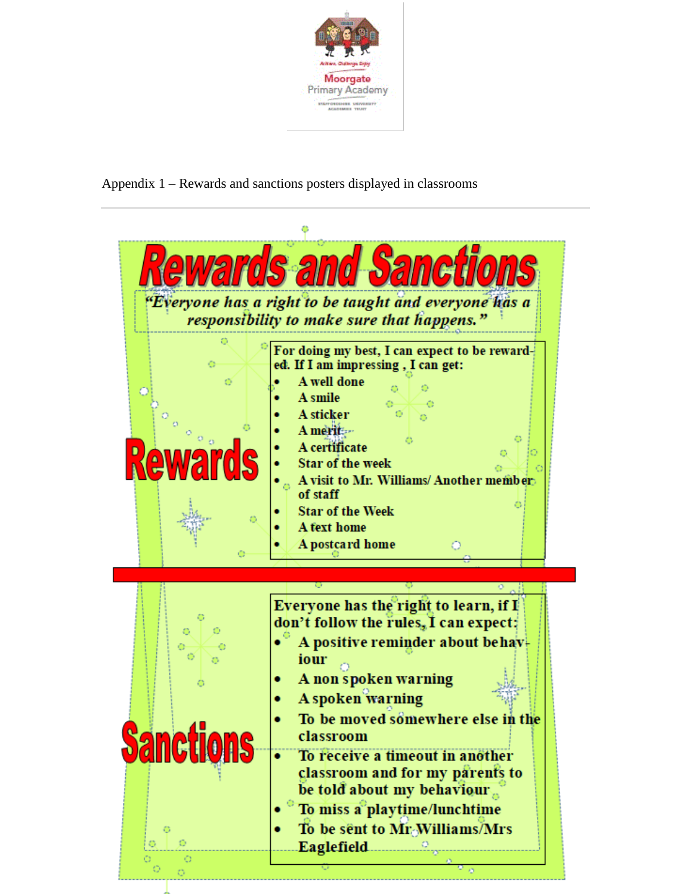

Appendix 1 – Rewards and sanctions posters displayed in classrooms

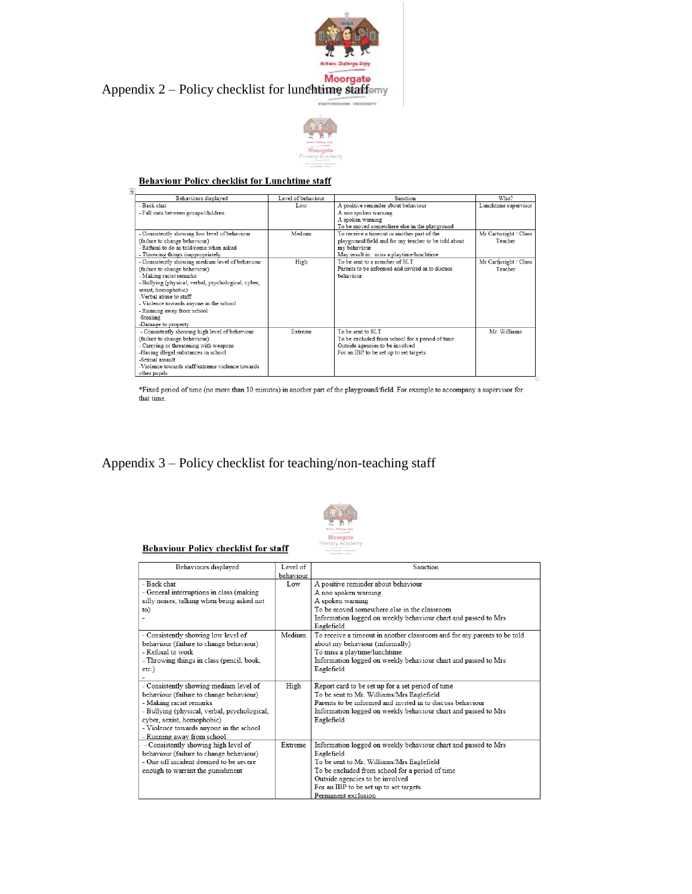





## **Behaviour Policy checklist for Lunchtime staff**

| Behaviours displayed                                | Level of behaviour | Sanction                                             | Who?                  |
|-----------------------------------------------------|--------------------|------------------------------------------------------|-----------------------|
| - Back chat                                         | Low                | A positive reminder about behaviour                  | Lunchtime supervisor  |
| - Fall outs between groups/children                 |                    | A non spoken warning                                 |                       |
|                                                     |                    | A spoken warning                                     |                       |
|                                                     |                    | To be moved somewhere else in the playground         |                       |
| - Consistently showing low level of behaviour       | Medium             | To receive a timeout in another part of the          | Mr Cartwright / Class |
| (failure to change behaviour)                       |                    | playground/field and for my teacher to be told about | Teacher               |
| - Refusal to do as told/come when asked.            |                    | my behaviour                                         |                       |
| - Throwing things inappropriately                   |                    | May result in: miss a playtime/lunchtime             |                       |
| - Consistently showing medium level of behaviour    | High               | To be sent to a member of SLT                        | Mr Cartwright / Class |
| (failure to change behaviour)                       |                    | Parents to be informed and invited in to discuss     | Teacher               |
| - Making racist remarks                             |                    | hehaviour                                            |                       |
| - Bullying (physical, verbal, psychological, cyber, |                    |                                                      |                       |
| sexist, homophobic)                                 |                    |                                                      |                       |
| -Verhal abuse to staff                              |                    |                                                      |                       |
| - Violence towards anyone in the school             |                    |                                                      |                       |
| - Running away from school                          |                    |                                                      |                       |
| -Stealing                                           |                    |                                                      |                       |
| -Damage to property                                 |                    |                                                      |                       |
| - Consistently showing high level of behaviour      | Extreme            | To be sent to SLT                                    | Mr Williams           |
| (failure to change behaviour)                       |                    | To be excluded from school for a period of time      |                       |
| - Carrying or threatening with weapons              |                    | Outside agencies to be involved                      |                       |
| -Having illegal substances in school                |                    | For an IBP to be set up to set targets               |                       |
| -Sexual assault                                     |                    |                                                      |                       |
| -Violence towards staff/extreme violence towards    |                    |                                                      |                       |
| other pupils                                        |                    |                                                      |                       |

 $*$  Fixed period of time (no more than 10 minutes) in another part of the playground/field. For example to accompany a supervisor for that time.

### Appendix 3 – Policy checklist for teaching/non-teaching staff



#### **Behaviour Policy checklist for staff**

| Behaviours displayed                         | Level of  | Sanction                                                                |
|----------------------------------------------|-----------|-------------------------------------------------------------------------|
|                                              | behaviour |                                                                         |
| - Back chat                                  | Low       | A positive reminder about behaviour                                     |
| - General interruptions in class (making     |           | A non spoken warning                                                    |
| silly noises, talking when being asked not   |           | A spoken warning                                                        |
| to)                                          |           | To be moved somewhere else in the classroom                             |
|                                              |           | Information logged on weekly behaviour chart and passed to Mrs          |
|                                              |           | Eaglefield                                                              |
| - Consistently showing low level of          | Medium    | To receive a timeout in another classroom and for my parents to be told |
| behaviour (failure to change behaviour)      |           | about my behaviour (informally)                                         |
| - Refusal to work                            |           | To miss a playtime/lunchtime                                            |
| - Throwing things in class (pencil, book,    |           | Information logged on weekly behaviour chart and passed to Mrs          |
| $etc.$ )                                     |           | Eaglefield                                                              |
|                                              |           |                                                                         |
| - Consistently showing medium level of       | High      | Report card to be set up for a set period of time                       |
| behaviour (failure to change behaviour)      |           | To be sent to Mr. Williams/Mrs Eaglefield                               |
| - Making racist remarks                      |           | Parents to be informed and invited in to discuss behaviour              |
| - Bullying (physical, verbal, psychological, |           | Information logged on weekly behaviour chart and passed to Mrs          |
| cyber, sexist, homophobic)                   |           | Eaglefield                                                              |
| - Violence towards anyone in the school      |           |                                                                         |
| - Running away from school                   |           |                                                                         |
| - Consistently showing high level of         | Extreme   | Information logged on weekly behaviour chart and passed to Mrs          |
| behaviour (failure to change behaviour)      |           | Eaglefield                                                              |
| - One off incident deemed to be severe       |           | To be sent to Mr. Williams/Mrs Eaglefield                               |
| enough to warrant the punishment             |           | To be excluded from school for a period of time                         |
|                                              |           | Outside agencies to be involved                                         |
|                                              |           | For an IBP to be set up to set targets                                  |
|                                              |           | Permanent exclusion                                                     |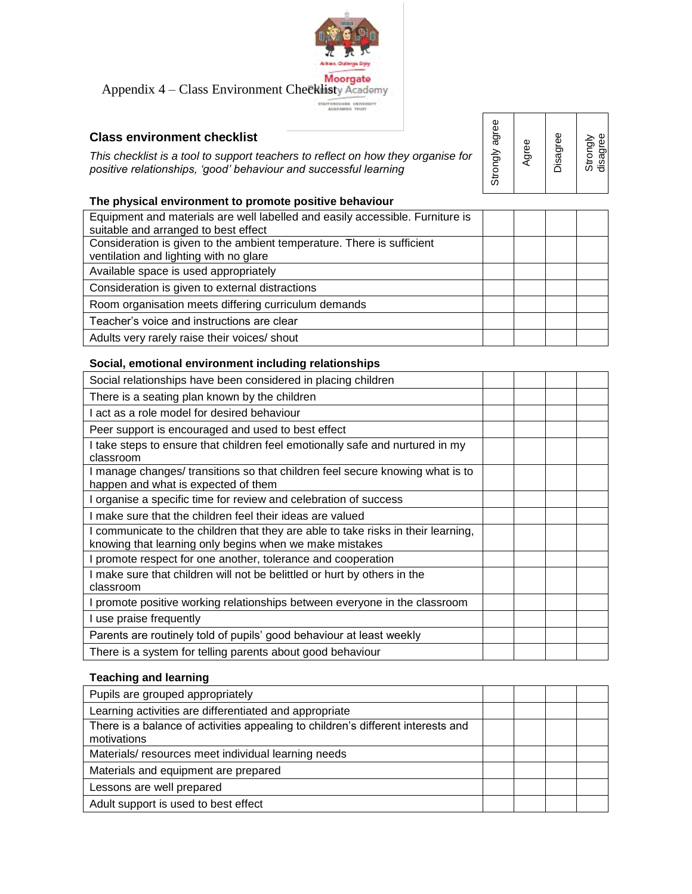

Moorgate<br>Appendix 4 – Class Environment Checklisty Academy

éns ynivism<br>Miss TRUET

### **Class environment checklist**

*This checklist is a tool to support teachers to reflect on how they organise for positive relationships, 'good' behaviour and successful learning* 

Strongly agree Agree Disagree Strongly<br>disagree

### **The physical environment to promote positive behaviour**

| Equipment and materials are well labelled and easily accessible. Furniture is |  |  |
|-------------------------------------------------------------------------------|--|--|
| suitable and arranged to best effect                                          |  |  |
| Consideration is given to the ambient temperature. There is sufficient        |  |  |
| ventilation and lighting with no glare                                        |  |  |
| Available space is used appropriately                                         |  |  |
| Consideration is given to external distractions                               |  |  |
| Room organisation meets differing curriculum demands                          |  |  |
| Teacher's voice and instructions are clear                                    |  |  |
| Adults very rarely raise their voices/ shout                                  |  |  |

### **Social, emotional environment including relationships**

### **Teaching and learning**

| Pupils are grouped appropriately                                                                |  |  |
|-------------------------------------------------------------------------------------------------|--|--|
| Learning activities are differentiated and appropriate                                          |  |  |
| There is a balance of activities appealing to children's different interests and<br>motivations |  |  |
| Materials/resources meet individual learning needs                                              |  |  |
| Materials and equipment are prepared                                                            |  |  |
| Lessons are well prepared                                                                       |  |  |
| Adult support is used to best effect                                                            |  |  |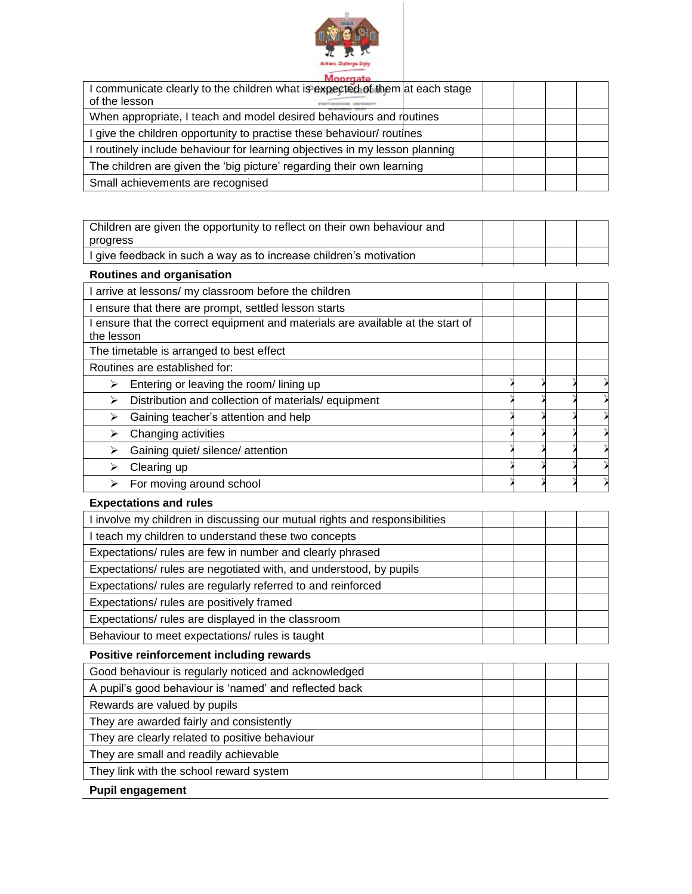

| I communicate clearly to the children what is expected of them at each stage<br>of the lesson |  |  |  |
|-----------------------------------------------------------------------------------------------|--|--|--|
|                                                                                               |  |  |  |
| When appropriate, I teach and model desired behaviours and routines                           |  |  |  |
| I give the children opportunity to practise these behaviour/ routines                         |  |  |  |
| I routinely include behaviour for learning objectives in my lesson planning                   |  |  |  |
| The children are given the 'big picture' regarding their own learning                         |  |  |  |
| Small achievements are recognised                                                             |  |  |  |

| Children are given the opportunity to reflect on their own behaviour and                      |  |  |  |  |  |  |
|-----------------------------------------------------------------------------------------------|--|--|--|--|--|--|
| progress                                                                                      |  |  |  |  |  |  |
| I give feedback in such a way as to increase children's motivation                            |  |  |  |  |  |  |
| <b>Routines and organisation</b>                                                              |  |  |  |  |  |  |
| I arrive at lessons/ my classroom before the children                                         |  |  |  |  |  |  |
| I ensure that there are prompt, settled lesson starts                                         |  |  |  |  |  |  |
| I ensure that the correct equipment and materials are available at the start of<br>the lesson |  |  |  |  |  |  |
| The timetable is arranged to best effect                                                      |  |  |  |  |  |  |
| Routines are established for:                                                                 |  |  |  |  |  |  |
| Entering or leaving the room/lining up<br>$\blacktriangleright$                               |  |  |  |  |  |  |
| Distribution and collection of materials/ equipment<br>➤                                      |  |  |  |  |  |  |
| Gaining teacher's attention and help<br>➤                                                     |  |  |  |  |  |  |
| Changing activities<br>⋗                                                                      |  |  |  |  |  |  |
| $\blacktriangleright$<br>Gaining quiet/ silence/ attention                                    |  |  |  |  |  |  |
| Clearing up<br>➤                                                                              |  |  |  |  |  |  |
| For moving around school<br>➤                                                                 |  |  |  |  |  |  |
| <b>Expectations and rules</b>                                                                 |  |  |  |  |  |  |
| I involve my children in discussing our mutual rights and responsibilities                    |  |  |  |  |  |  |
| I teach my children to understand these two concepts                                          |  |  |  |  |  |  |
| Expectations/ rules are few in number and clearly phrased                                     |  |  |  |  |  |  |
| Expectations/ rules are negotiated with, and understood, by pupils                            |  |  |  |  |  |  |
| Expectations/ rules are regularly referred to and reinforced                                  |  |  |  |  |  |  |
| Expectations/ rules are positively framed                                                     |  |  |  |  |  |  |
| Expectations/ rules are displayed in the classroom                                            |  |  |  |  |  |  |
| Behaviour to meet expectations/ rules is taught                                               |  |  |  |  |  |  |
| Positive reinforcement including rewards                                                      |  |  |  |  |  |  |
| Good behaviour is regularly noticed and acknowledged                                          |  |  |  |  |  |  |
| A pupil's good behaviour is 'named' and reflected back                                        |  |  |  |  |  |  |
| Rewards are valued by pupils                                                                  |  |  |  |  |  |  |
| They are awarded fairly and consistently                                                      |  |  |  |  |  |  |
| They are clearly related to positive behaviour                                                |  |  |  |  |  |  |
| They are small and readily achievable                                                         |  |  |  |  |  |  |
| They link with the school reward system                                                       |  |  |  |  |  |  |

### **Pupil engagement**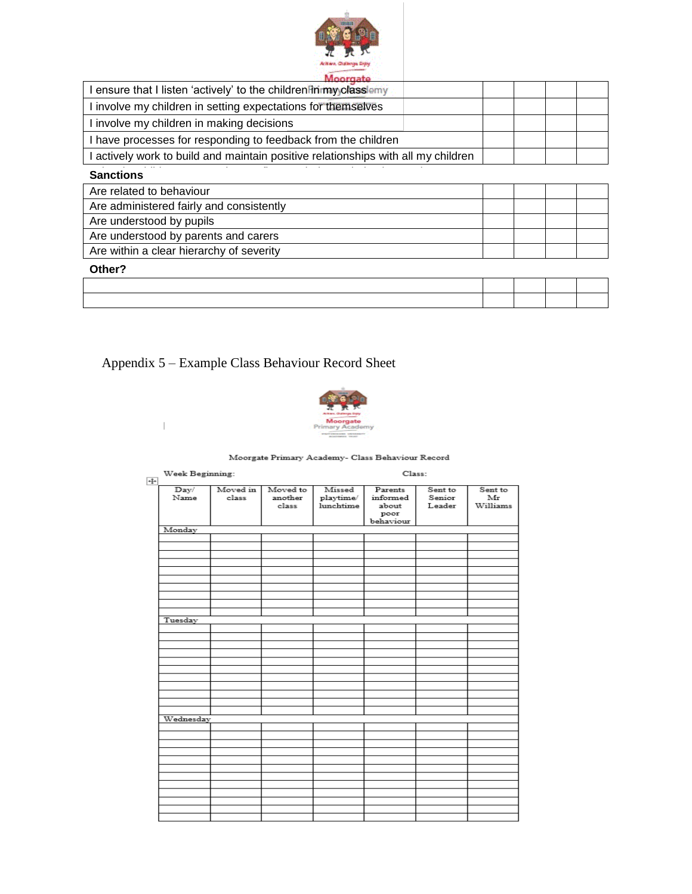

| viceiraate<br>I ensure that I listen 'actively' to the children in my classiemy   |  |  |
|-----------------------------------------------------------------------------------|--|--|
| I involve my children in setting expectations for themselves                      |  |  |
| I involve my children in making decisions                                         |  |  |
| I have processes for responding to feedback from the children                     |  |  |
| I actively work to build and maintain positive relationships with all my children |  |  |
| <b>Sanctions</b>                                                                  |  |  |
| Are related to behaviour                                                          |  |  |
| Are administered fairly and consistently                                          |  |  |
| Are understood by pupils                                                          |  |  |
| Are understood by parents and carers                                              |  |  |
| Are within a clear hierarchy of severity                                          |  |  |
| Other?                                                                            |  |  |

### Appendix 5 – Example Class Behaviour Record Sheet

 $\bar{\mathbb{L}}$ 



#### Moorgate Primary Academy- Class Behaviour Record

| $\overline{+}$ | Week Beginning: |          |          | Class:    |           |         |          |  |
|----------------|-----------------|----------|----------|-----------|-----------|---------|----------|--|
|                | Day/            | Moved in | Moved to | Missed    | Parents   | Sent to | Sent to  |  |
|                | Name            | class    | another  | playtime/ | informed  | Senior  | Mr       |  |
|                |                 |          | class    | lunchtime | about     | Leader  | Williams |  |
|                |                 |          |          |           | poor      |         |          |  |
|                |                 |          |          |           | behaviour |         |          |  |
|                | Monday          |          |          |           |           |         |          |  |
|                |                 |          |          |           |           |         |          |  |
|                |                 |          |          |           |           |         |          |  |
|                |                 |          |          |           |           |         |          |  |
|                |                 |          |          |           |           |         |          |  |
|                |                 |          |          |           |           |         |          |  |
|                |                 |          |          |           |           |         |          |  |
|                |                 |          |          |           |           |         |          |  |
|                |                 |          |          |           |           |         |          |  |
|                |                 |          |          |           |           |         |          |  |
|                |                 |          |          |           |           |         |          |  |
|                |                 |          |          |           |           |         |          |  |
|                | Tuesday         |          |          |           |           |         |          |  |
|                |                 |          |          |           |           |         |          |  |
|                |                 |          |          |           |           |         |          |  |
|                |                 |          |          |           |           |         |          |  |
|                |                 |          |          |           |           |         |          |  |
|                |                 |          |          |           |           |         |          |  |
|                |                 |          |          |           |           |         |          |  |
|                |                 |          |          |           |           |         |          |  |
|                |                 |          |          |           |           |         |          |  |
|                |                 |          |          |           |           |         |          |  |
|                |                 |          |          |           |           |         |          |  |
|                |                 |          |          |           |           |         |          |  |
|                | Wednesday       |          |          |           |           |         |          |  |
|                |                 |          |          |           |           |         |          |  |
|                |                 |          |          |           |           |         |          |  |
|                |                 |          |          |           |           |         |          |  |
|                |                 |          |          |           |           |         |          |  |
|                |                 |          |          |           |           |         |          |  |
|                |                 |          |          |           |           |         |          |  |
|                |                 |          |          |           |           |         |          |  |
|                |                 |          |          |           |           |         |          |  |
|                |                 |          |          |           |           |         |          |  |
|                |                 |          |          |           |           |         |          |  |
|                |                 |          |          |           |           |         |          |  |
|                |                 |          |          |           |           |         |          |  |
|                |                 |          |          |           |           |         |          |  |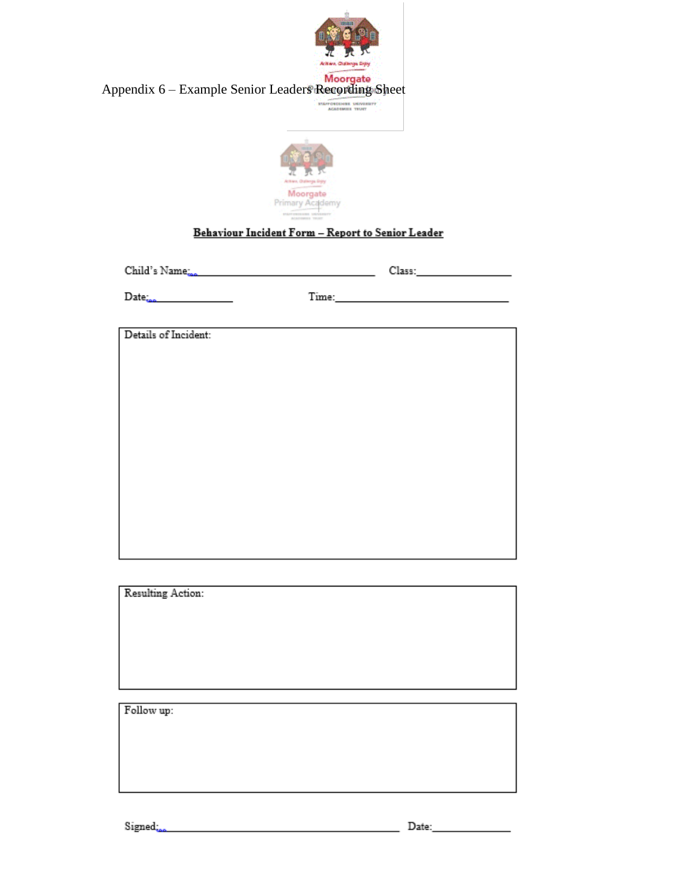| Appendix 6 - Example Senior Leaders Recording Sheet | Actries, Oldsings Dipy<br>Moorgate<br>STAFFORDSHIEL UNIVERSITY<br>ACADEMIES TRUET                                                                                                                                              |  |
|-----------------------------------------------------|--------------------------------------------------------------------------------------------------------------------------------------------------------------------------------------------------------------------------------|--|
|                                                     | Action, Outletps Enjoy<br>Moorgate<br>Primary Academy<br>Behaviour Incident Form - Report to Senior Leader                                                                                                                     |  |
| Child's Name <sub>sse</sub>                         | Class: University of the Class                                                                                                                                                                                                 |  |
| $Date_{\text{loss}}$                                | Time: Time: The Contract of the Contract of the Contract of the Contract of the Contract of the Contract of the Contract of the Contract of the Contract of the Contract of the Contract of the Contract of the Contract of th |  |
|                                                     |                                                                                                                                                                                                                                |  |
| Details of Incident:                                |                                                                                                                                                                                                                                |  |
|                                                     |                                                                                                                                                                                                                                |  |
|                                                     |                                                                                                                                                                                                                                |  |
|                                                     |                                                                                                                                                                                                                                |  |
|                                                     |                                                                                                                                                                                                                                |  |
|                                                     |                                                                                                                                                                                                                                |  |
|                                                     |                                                                                                                                                                                                                                |  |
|                                                     |                                                                                                                                                                                                                                |  |
|                                                     |                                                                                                                                                                                                                                |  |
|                                                     |                                                                                                                                                                                                                                |  |
|                                                     |                                                                                                                                                                                                                                |  |
| Resulting Action:                                   |                                                                                                                                                                                                                                |  |
|                                                     |                                                                                                                                                                                                                                |  |
|                                                     |                                                                                                                                                                                                                                |  |
|                                                     |                                                                                                                                                                                                                                |  |
|                                                     |                                                                                                                                                                                                                                |  |
| Follow up:                                          |                                                                                                                                                                                                                                |  |
|                                                     |                                                                                                                                                                                                                                |  |
|                                                     |                                                                                                                                                                                                                                |  |
|                                                     |                                                                                                                                                                                                                                |  |
|                                                     |                                                                                                                                                                                                                                |  |
|                                                     |                                                                                                                                                                                                                                |  |